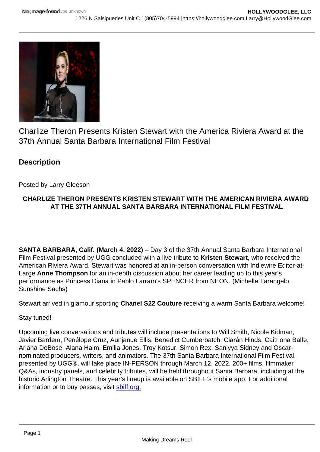# Charlize Theron Presents Kristen Stewart with the America Riviera Award at the 37th Annual Santa Barbara International Film Festival

**Description** 

## Posted by Larry Gleeson

## CHARLIZE THERON PRESENTS KRISTEN STEWART WITH THE AMERICAN RIVIERA AWARD AT THE 37TH ANNUAL SANTA BARBARA INTERNATIONAL FILM FESTIVAL

SANTA BARBARA, Calif. (March 4, 2022) – Day 3 of the 37th Annual Santa Barbara International Film Festival presented by UGG concluded with a live tribute to Kristen Stewart , who received the American Riviera Award. Stewart was honored at an in-person conversation with Indiewire Editor-at-Large Anne Thompson for an in-depth discussion about her career leading up to this year's performance as Princess Diana in Pablo Larraín's SPENCER from NEON. (Michelle Tarangelo, Sunshine Sachs)

Stewart arrived in glamour sporting Chanel S22 Couture receiving a warm Santa Barbara welcome!

#### Stay tuned!

Upcoming live conversations and tributes will include presentations to Will Smith, Nicole Kidman, Javier Bardem, Penélope Cruz, Aunjanue Ellis, Benedict Cumberbatch, Ciarán Hinds, Caitriona Balfe, Ariana DeBose, Alana Haim, Emilia Jones, Troy Kotsur, Simon Rex, Saniyya Sidney and Oscarnominated producers, writers, and animators. The 37th Santa Barbara International Film Festival, presented by UGG®, will take place IN-PERSON through March 12, 2022. 200+ films, filmmaker Q&As, industry panels, and celebrity tributes, will be held throughout Santa Barbara, including at the historic Arlington Theatre. This year's lineup is available on SBIFF's mobile app. For additional information or to buy passes, visit [sbiff.org.](http://sbiff.org)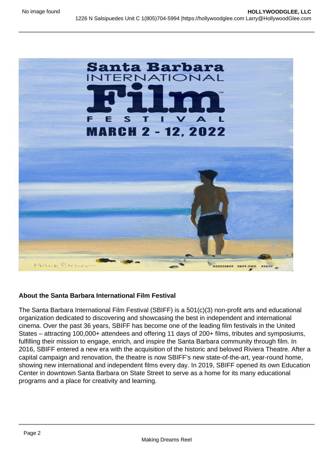About the Santa Barbara International Film Festival

The Santa Barbara International Film Festival (SBIFF) is a 501(c)(3) non-profit arts and educational organization dedicated to discovering and showcasing the best in independent and international cinema. Over the past 36 years, SBIFF has become one of the leading film festivals in the United States – attracting 100,000+ attendees and offering 11 days of 200+ films, tributes and symposiums, fulfilling their mission to engage, enrich, and inspire the Santa Barbara community through film. In 2016, SBIFF entered a new era with the acquisition of the historic and beloved Riviera Theatre. After a capital campaign and renovation, the theatre is now SBIFF's new state-of-the-art, year-round home, showing new international and independent films every day. In 2019, SBIFF opened its own Education Center in downtown Santa Barbara on State Street to serve as a home for its many educational programs and a place for creativity and learning.